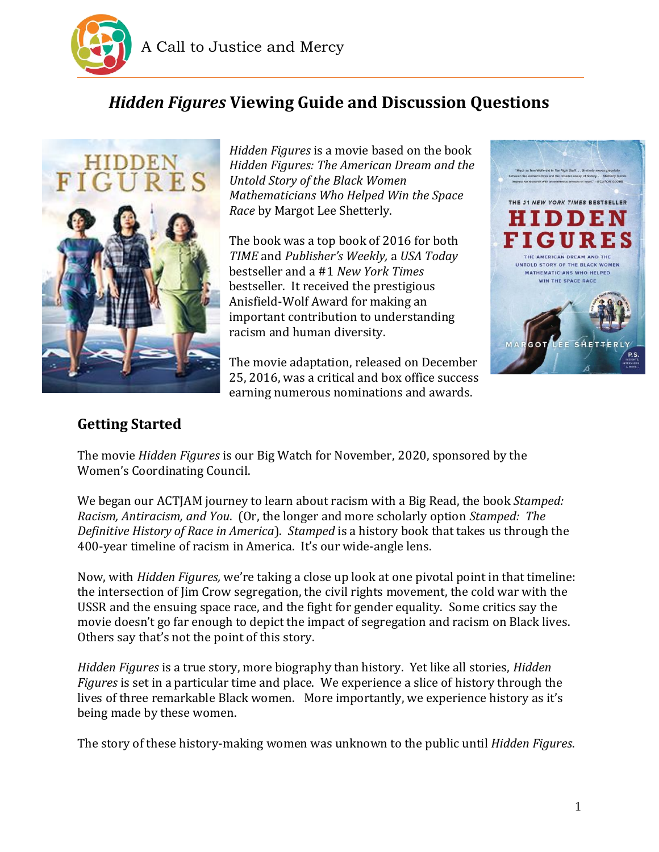

# *Hidden Figures* **Viewing Guide and Discussion Questions**



*Hidden Figures* is a movie based on the book *Hidden Figures: The American Dream and the Untold Story of the Black Women Mathematicians Who Helped Win the Space Race* by Margot Lee Shetterly.

The book was a top book of 2016 for both *TIME* and *Publisher's Weekly,* a *USA Today* bestseller and a #1 *New York Times*  bestseller. It received the prestigious Anisfield-Wolf Award for making an important contribution to understanding racism and human diversity.

The movie adaptation, released on December 25, 2016, was a critical and box office success earning numerous nominations and awards.



## **Getting Started**

The movie *Hidden Figures* is our Big Watch for November, 2020, sponsored by the Women's Coordinating Council.

We began our ACTJAM journey to learn about racism with a Big Read, the book *Stamped: Racism, Antiracism, and You*. (Or, the longer and more scholarly option *Stamped: The Definitive History of Race in America*). *Stamped* is a history book that takes us through the 400-year timeline of racism in America. It's our wide-angle lens.

Now, with *Hidden Figures,* we're taking a close up look at one pivotal point in that timeline: the intersection of Jim Crow segregation, the civil rights movement, the cold war with the USSR and the ensuing space race, and the fight for gender equality. Some critics say the movie doesn't go far enough to depict the impact of segregation and racism on Black lives. Others say that's not the point of this story.

*Hidden Figures* is a true story, more biography than history. Yet like all stories, *Hidden Figures* is set in a particular time and place. We experience a slice of history through the lives of three remarkable Black women. More importantly, we experience history as it's being made by these women.

The story of these history-making women was unknown to the public until *Hidden Figures*.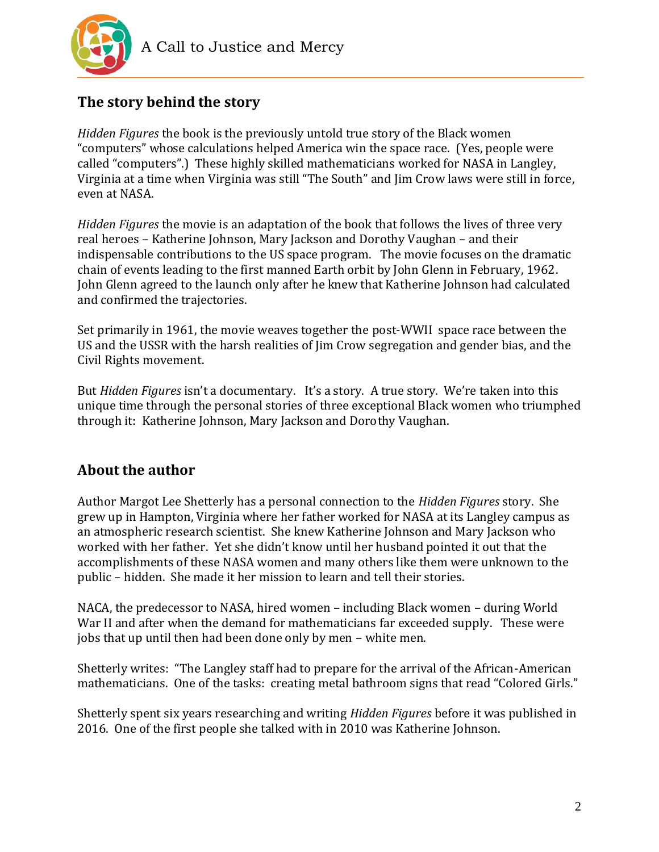

# **The story behind the story**

*Hidden Figures* the book is the previously untold true story of the Black women "computers" whose calculations helped America win the space race. (Yes, people were called "computers".) These highly skilled mathematicians worked for NASA in Langley, Virginia at a time when Virginia was still "The South" and Jim Crow laws were still in force, even at NASA.

*Hidden Figures* the movie is an adaptation of the book that follows the lives of three very real heroes – Katherine Johnson, Mary Jackson and Dorothy Vaughan – and their indispensable contributions to the US space program. The movie focuses on the dramatic chain of events leading to the first manned Earth orbit by John Glenn in February, 1962. John Glenn agreed to the launch only after he knew that Katherine Johnson had calculated and confirmed the trajectories.

Set primarily in 1961, the movie weaves together the post-WWII space race between the US and the USSR with the harsh realities of Jim Crow segregation and gender bias, and the Civil Rights movement.

But *Hidden Figures* isn't a documentary. It's a story. A true story. We're taken into this unique time through the personal stories of three exceptional Black women who triumphed through it: Katherine Johnson, Mary Jackson and Dorothy Vaughan.

## **About the author**

Author Margot Lee Shetterly has a personal connection to the *Hidden Figures* story. She grew up in Hampton, Virginia where her father worked for NASA at its Langley campus as an atmospheric research scientist. She knew Katherine Johnson and Mary Jackson who worked with her father. Yet she didn't know until her husband pointed it out that the accomplishments of these NASA women and many others like them were unknown to the public – hidden. She made it her mission to learn and tell their stories.

NACA, the predecessor to NASA, hired women – including Black women – during World War II and after when the demand for mathematicians far exceeded supply. These were jobs that up until then had been done only by men – white men.

Shetterly writes: "The Langley staff had to prepare for the arrival of the African-American mathematicians. One of the tasks: creating metal bathroom signs that read "Colored Girls."

Shetterly spent six years researching and writing *Hidden Figures* before it was published in 2016. One of the first people she talked with in 2010 was Katherine Johnson.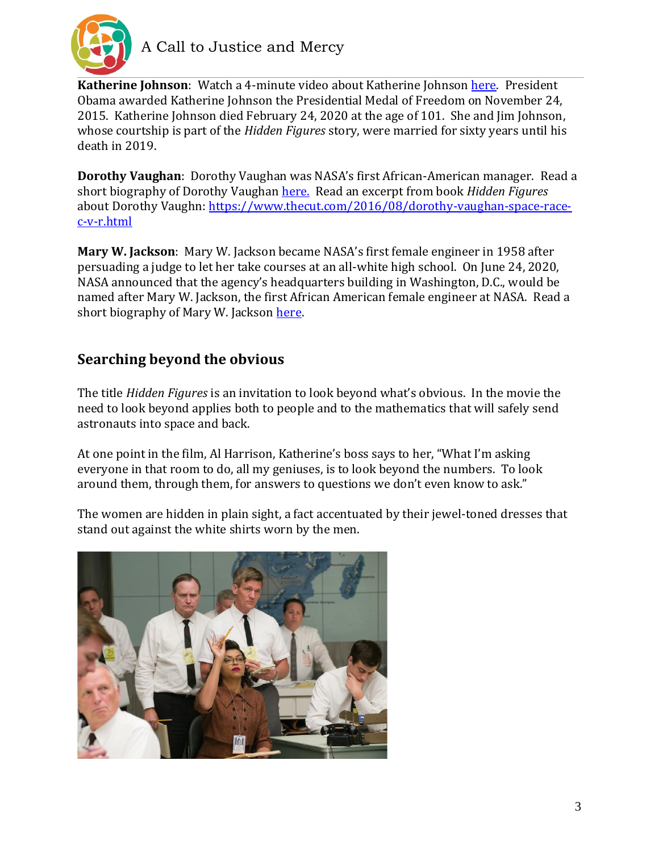

**Katherine Johnson**: Watch a 4-minute video about Katherine Johnson [here.](https://www.youtube.com/watch?v=xDaEIWN6lqc) President Obama awarded Katherine Johnson the Presidential Medal of Freedom on November 24, 2015. Katherine Johnson died February 24, 2020 at the age of 101. She and Jim Johnson, whose courtship is part of the *Hidden Figures* story, were married for sixty years until his death in 2019.

**Dorothy Vaughan**: Dorothy Vaughan was NASA's first African-American manager. Read a short biography of Dorothy Vaughan [here.](https://www.nasa.gov/content/dorothy-vaughan-biography) Read an excerpt from book *Hidden Figures* about Dorothy Vaughn: [https://www.thecut.com/2016/08/dorothy-vaughan-space-race](https://www.thecut.com/2016/08/dorothy-vaughan-space-race-c-v-r.html)[c-v-r.html](https://www.thecut.com/2016/08/dorothy-vaughan-space-race-c-v-r.html)

**Mary W. Jackson**: Mary W. Jackson became NASA's first female engineer in 1958 after persuading a judge to let her take courses at an all-white high school. On June 24, 2020, NASA announced that the agency's headquarters building in Washington, D.C., would be named after Mary W. Jackson, the first African American female engineer at NASA. Read a short biography of Mary W. Jackson [here.](https://www.nasa.gov/content/mary-jackson-biography)

## **Searching beyond the obvious**

The title *Hidden Figures* is an invitation to look beyond what's obvious. In the movie the need to look beyond applies both to people and to the mathematics that will safely send astronauts into space and back.

At one point in the film, Al Harrison, Katherine's boss says to her, "What I'm asking everyone in that room to do, all my geniuses, is to look beyond the numbers. To look around them, through them, for answers to questions we don't even know to ask."

The women are hidden in plain sight, a fact accentuated by their jewel-toned dresses that stand out against the white shirts worn by the men.

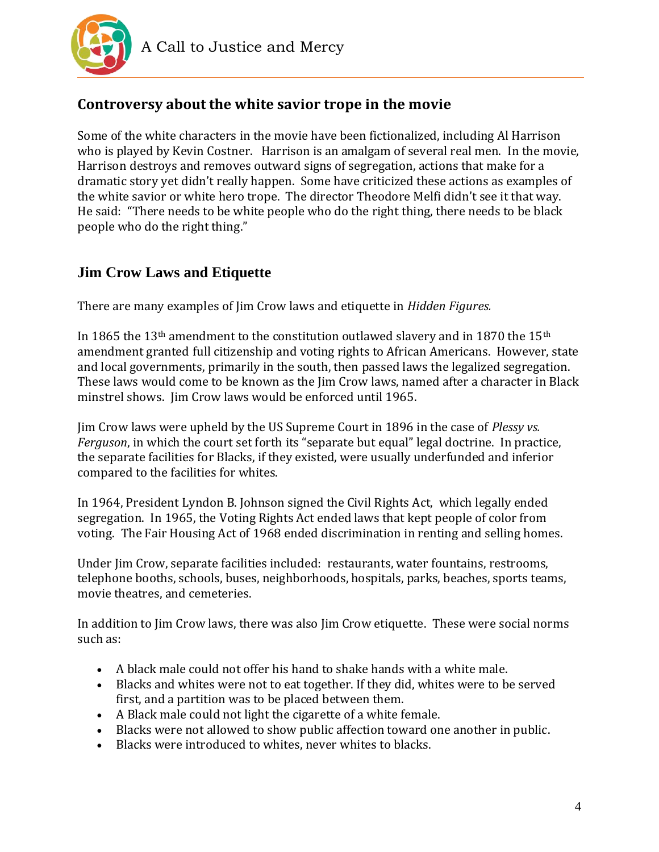

## **Controversy about the white savior trope in the movie**

Some of the white characters in the movie have been fictionalized, including Al Harrison who is played by Kevin Costner. Harrison is an amalgam of several real men. In the movie, Harrison destroys and removes outward signs of segregation, actions that make for a dramatic story yet didn't really happen. Some have criticized these actions as examples of the white savior or white hero trope. The director Theodore Melfi didn't see it that way. He said: "There needs to be white people who do the right thing, there needs to be black people who do the right thing."

#### **Jim Crow Laws and Etiquette**

There are many examples of Jim Crow laws and etiquette in *Hidden Figures.*

In 1865 the 13<sup>th</sup> amendment to the constitution outlawed slavery and in 1870 the 15<sup>th</sup> amendment granted full citizenship and voting rights to African Americans. However, state and local governments, primarily in the south, then passed laws the legalized segregation. These laws would come to be known as the Jim Crow laws, named after a character in Black minstrel shows. Jim Crow laws would be enforced until 1965.

Jim Crow laws were upheld by the US Supreme Court in 1896 in the case of *Plessy vs. Ferguson*, in which the court set forth its "separate but equal" legal doctrine. In practice, the separate facilities for Blacks, if they existed, were usually underfunded and inferior compared to the facilities for whites.

In 1964, President Lyndon B. Johnson signed the Civil Rights Act, which legally ended segregation. In 1965, the Voting Rights Act ended laws that kept people of color from voting. The Fair Housing Act of 1968 ended discrimination in renting and selling homes.

Under Jim Crow, separate facilities included: restaurants, water fountains, restrooms, telephone booths, schools, buses, neighborhoods, hospitals, parks, beaches, sports teams, movie theatres, and cemeteries.

In addition to Jim Crow laws, there was also Jim Crow etiquette. These were social norms such as:

- A black male could not offer his hand to shake hands with a white male.
- Blacks and whites were not to eat together. If they did, whites were to be served first, and a partition was to be placed between them.
- A Black male could not light the cigarette of a white female.
- Blacks were not allowed to show public affection toward one another in public.
- Blacks were introduced to whites, never whites to blacks.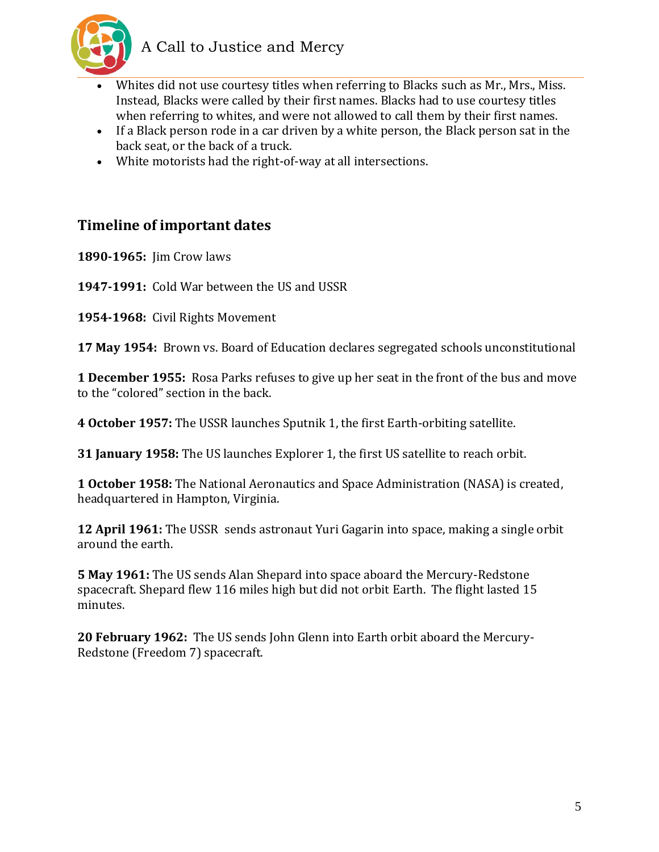

- Whites did not use courtesy titles when referring to Blacks such as Mr., Mrs., Miss. Instead, Blacks were called by their first names. Blacks had to use courtesy titles when referring to whites, and were not allowed to call them by their first names.
- If a Black person rode in a car driven by a white person, the Black person sat in the back seat, or the back of a truck.
- White motorists had the right-of-way at all intersections.

#### **Timeline of important dates**

**1890-1965:** Jim Crow laws

**1947-1991:** Cold War between the US and USSR

**1954-1968:** Civil Rights Movement

**17 May 1954:** Brown vs. Board of Education declares segregated schools unconstitutional

**1 December 1955:** Rosa Parks refuses to give up her seat in the front of the bus and move to the "colored" section in the back.

**4 October 1957:** The USSR launches Sputnik 1, the first Earth-orbiting satellite.

**31 January 1958:** The US launches Explorer 1, the first US satellite to reach orbit.

**1 October 1958:** The National Aeronautics and Space Administration (NASA) is created, headquartered in Hampton, Virginia.

**12 April 1961:** The USSR sends astronaut Yuri Gagarin into space, making a single orbit around the earth.

**5 May 1961:** The US sends Alan Shepard into space aboard the Mercury-Redstone spacecraft. Shepard flew 116 miles high but did not orbit Earth. The flight lasted 15 minutes.

**20 February 1962:** The US sends John Glenn into Earth orbit aboard the Mercury-Redstone (Freedom 7) spacecraft.